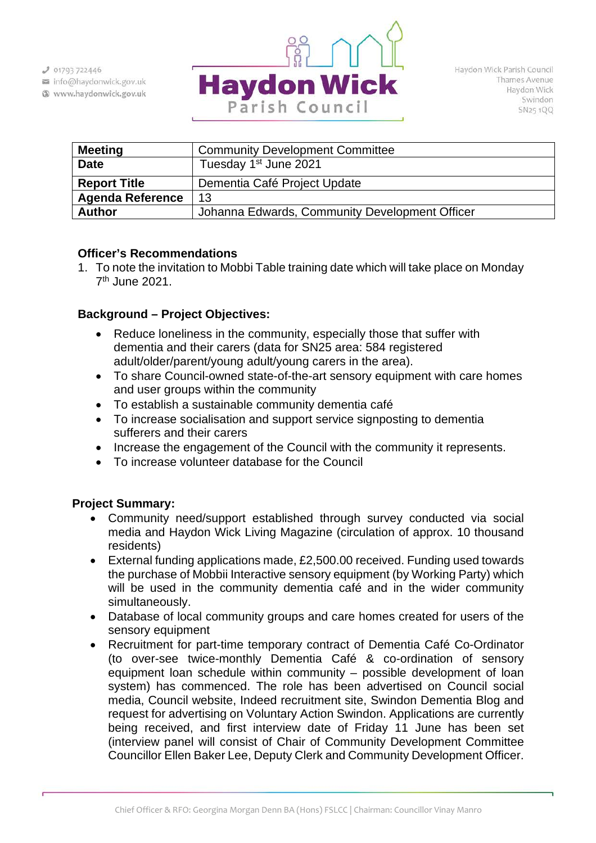$J$  01793 722446

info@haydonwick.gov.uk Www.haydonwick.gov.uk



| <b>Meeting</b>          | <b>Community Development Committee</b>         |  |  |  |  |
|-------------------------|------------------------------------------------|--|--|--|--|
| <b>Date</b>             | Tuesday 1 <sup>st</sup> June 2021              |  |  |  |  |
| <b>Report Title</b>     | Dementia Café Project Update                   |  |  |  |  |
| <b>Agenda Reference</b> | 13                                             |  |  |  |  |
| <b>Author</b>           | Johanna Edwards, Community Development Officer |  |  |  |  |

# **Officer's Recommendations**

1. To note the invitation to Mobbi Table training date which will take place on Monday 7th June 2021.

# **Background – Project Objectives:**

- Reduce loneliness in the community, especially those that suffer with dementia and their carers (data for SN25 area: 584 registered adult/older/parent/young adult/young carers in the area).
- To share Council-owned state-of-the-art sensory equipment with care homes and user groups within the community
- To establish a sustainable community dementia café
- To increase socialisation and support service signposting to dementia sufferers and their carers
- Increase the engagement of the Council with the community it represents.
- To increase volunteer database for the Council

# **Project Summary:**

- Community need/support established through survey conducted via social media and Haydon Wick Living Magazine (circulation of approx. 10 thousand residents)
- External funding applications made, £2,500.00 received. Funding used towards the purchase of Mobbii Interactive sensory equipment (by Working Party) which will be used in the community dementia café and in the wider community simultaneously.
- Database of local community groups and care homes created for users of the sensory equipment
- Recruitment for part-time temporary contract of Dementia Café Co-Ordinator (to over-see twice-monthly Dementia Café & co-ordination of sensory equipment loan schedule within community – possible development of loan system) has commenced. The role has been advertised on Council social media, Council website, Indeed recruitment site, Swindon Dementia Blog and request for advertising on Voluntary Action Swindon. Applications are currently being received, and first interview date of Friday 11 June has been set (interview panel will consist of Chair of Community Development Committee Councillor Ellen Baker Lee, Deputy Clerk and Community Development Officer.